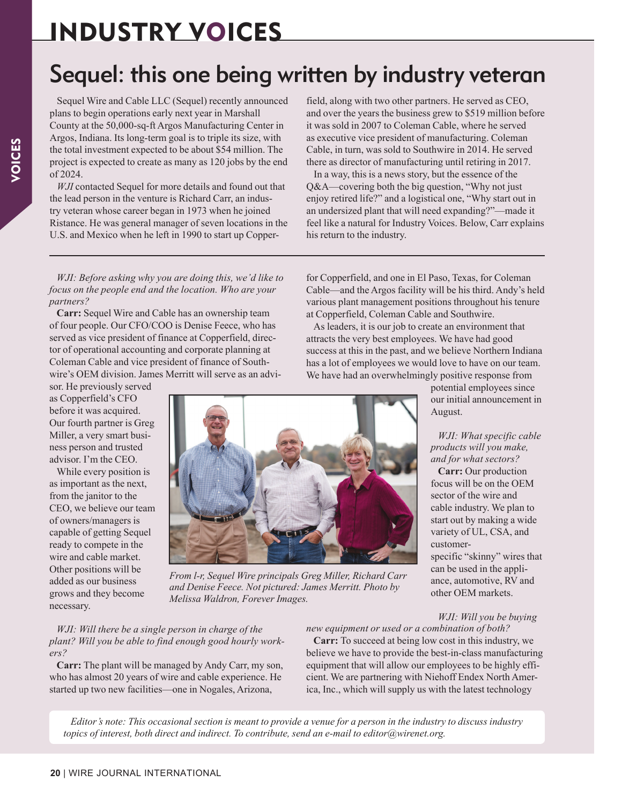# INDUSTRY VOICES

# Sequel: this one being written by industry veteran

Sequel Wire and Cable LLC (Sequel) recently announced plans to begin operations early next year in Marshall County at the 50,000-sq-ft Argos Manufacturing Center in Argos, Indiana. Its long-term goal is to triple its size, with the total investment expected to be about \$54 million. The project is expected to create as many as 120 jobs by the end of 2024.

*WJI* contacted Sequel for more details and found out that the lead person in the venture is Richard Carr, an industry veteran whose career began in 1973 when he joined Ristance. He was general manager of seven locations in the U.S. and Mexico when he left in 1990 to start up Copperfield, along with two other partners. He served as CEO, and over the years the business grew to \$519 million before it was sold in 2007 to Coleman Cable, where he served as executive vice president of manufacturing. Coleman Cable, in turn, was sold to Southwire in 2014. He served there as director of manufacturing until retiring in 2017.

In a way, this is a news story, but the essence of the Q&A—covering both the big question, "Why not just enjoy retired life?" and a logistical one, "Why start out in an undersized plant that will need expanding?"—made it feel like a natural for Industry Voices. Below, Carr explains his return to the industry.

*WJI: Before asking why you are doing this, we'd like to focus on the people end and the location. Who are your partners?*

**Carr:** Sequel Wire and Cable has an ownership team of four people. Our CFO/COO is Denise Feece, who has served as vice president of finance at Copperfield, director of operational accounting and corporate planning at Coleman Cable and vice president of finance of Southwire's OEM division. James Merritt will serve as an advi-

sor. He previously served as Copperfield's CFO before it was acquired. Our fourth partner is Greg Miller, a very smart business person and trusted advisor. I'm the CEO.

While every position is as important as the next, from the janitor to the CEO, we believe our team of owners/managers is capable of getting Sequel ready to compete in the wire and cable market. Other positions will be added as our business grows and they become necessary.

for Copperfield, and one in El Paso, Texas, for Coleman Cable—and the Argos facility will be his third. Andy's held various plant management positions throughout his tenure at Copperfield, Coleman Cable and Southwire. As leaders, it is our job to create an environment that

attracts the very best employees. We have had good success at this in the past, and we believe Northern Indiana has a lot of employees we would love to have on our team. We have had an overwhelmingly positive response from

> potential employees since our initial announcement in August.

> *WJI: What specific cable products will you make, and for what sectors?*

> **Carr:** Our production focus will be on the OEM sector of the wire and cable industry. We plan to start out by making a wide variety of UL, CSA, and customerspecific "skinny" wires that can be used in the appliance, automotive, RV and other OEM markets.

*WJI: Will there be a single person in charge of the plant? Will you be able to find enough good hourly work-*

*ers?* **Carr:** The plant will be managed by Andy Carr, my son, who has almost 20 years of wire and cable experience. He started up two new facilities—one in Nogales, Arizona,

#### *WJI: Will you be buying new equipment or used or a combination of both?*

**Carr:** To succeed at being low cost in this industry, we believe we have to provide the best-in-class manufacturing equipment that will allow our employees to be highly efficient. We are partnering with Niehoff Endex North America, Inc., which will supply us with the latest technology

*Editor's note: This occasional section is meant to provide a venue for a person in the industry to discuss industry topics of interest, both direct and indirect. To contribute, send an e-mail to editor@wirenet.org.*



*From l-r, Sequel Wire principals Greg Miller, Richard Carr and Denise Feece. Not pictured: James Merritt. Photo by Melissa Waldron, Forever Images.*